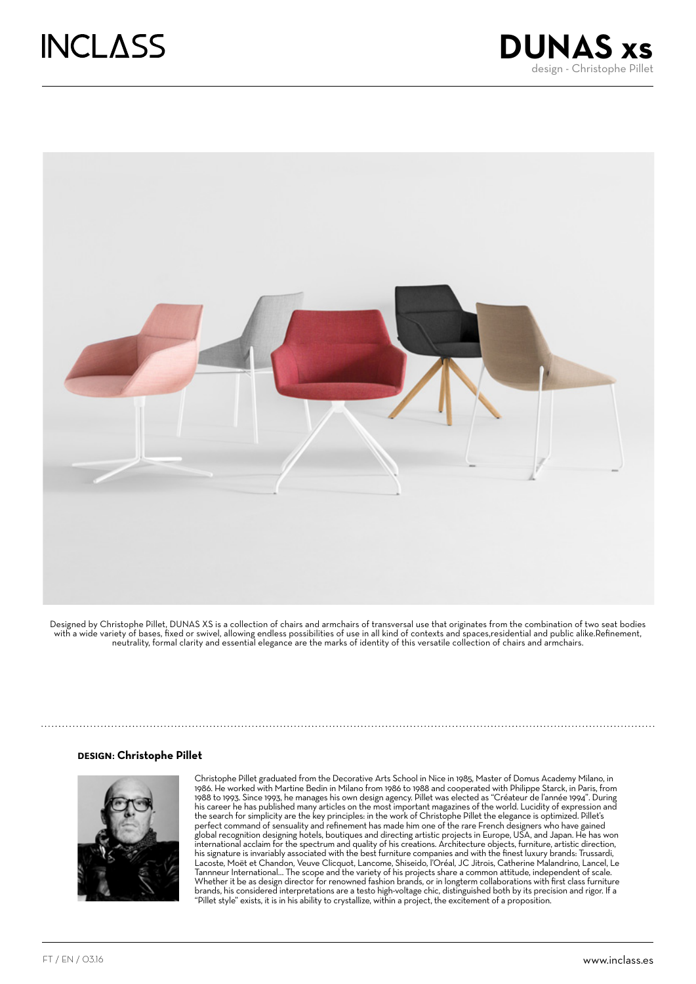



Designed by Christophe Pillet, DUNAS XS is a collection of chairs and armchairs of transversal use that originates from the combination of two seat bodies with a wide variety of bases, fixed or swivel, allowing endless possibilities of use in all kind of contexts and spaces,residential and public alike.Refinement, neutrality, formal clarity and essential elegance are the marks of identity of this versatile collection of chairs and armchairs.

#### DESIGN: **Christophe Pillet**



Christophe Pillet graduated from the Decorative Arts School in Nice in 1985, Master of Domus Academy Milano, in 1986. He worked with Martine Bedin in Milano from 1986 to 1988 and cooperated with Philippe Starck, in Paris, from 1988 to 1993. Since 1993, he manages his own design agency. Pillet was elected as "Créateur de l'année 1994". During his career he has published many articles on the most important magazines of the world. Lucidity of expression and the search for simplicity are the key principles: in the work of Christophe Pillet the elegance is optimized. Pillet's perfect command of sensuality and refinement has made him one of the rare French designers who have gained global recognition designing hotels, boutiques and directing artistic projects in Europe, USA, and Japan. He has won international acclaim for the spectrum and quality of his creations. Architecture objects, furniture, artistic direction, his signature is invariably associated with the best furniture companies and with the finest luxury brands: Trussardi, Lacoste, Moët et Chandon, Veuve Clicquot, Lancome, Shiseido, l'Oréal, JC Jitrois, Catherine Malandrino, Lancel, Le Tannneur International… The scope and the variety of his projects share a common attitude, independent of scale. Whether it be as design director for renowned fashion brands, or in longterm collaborations with first class furniture brands, his considered interpretations are a testo high-voltage chic, distinguished both by its precision and rigor. If a "Pillet style" exists, it is in his ability to crystallize, within a project, the excitement of a proposition.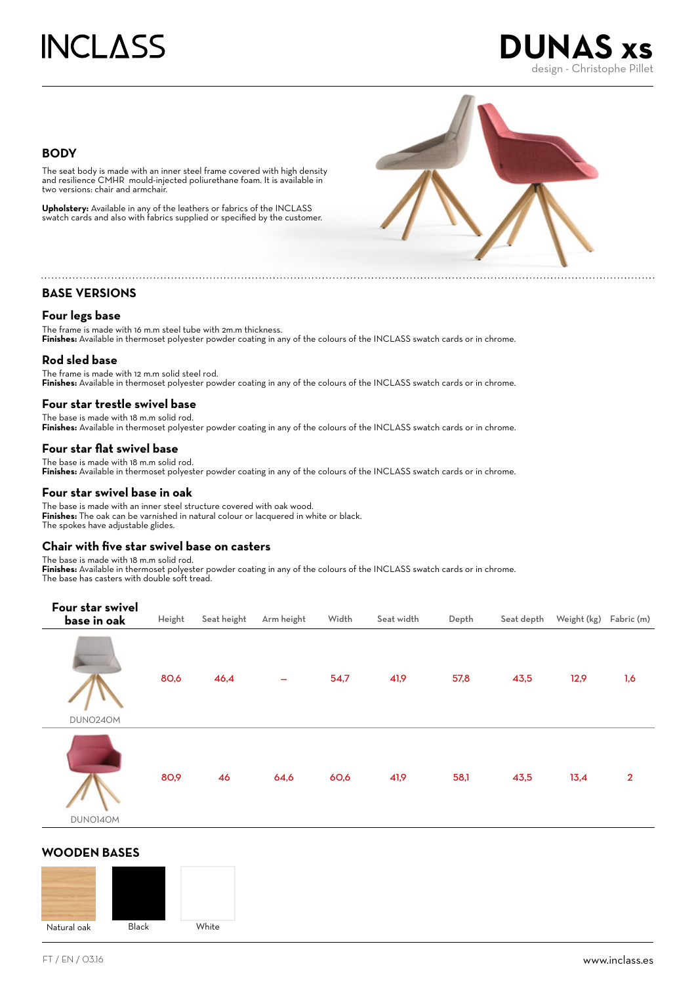

## **BODY**

The seat body is made with an inner steel frame covered with high density and resilience CMHR mould-injected poliurethane foam. It is available in two versions: chair and armchair.

**Upholstery:** Available in any of the leathers or fabrics of the INCLASS swatch cards and also with fabrics supplied or specified by the customer.



# **BASE VERSIONS**

# **Four legs base**

The frame is made with 16 m.m steel tube with 2m.m thickness. **Finishes:** Available in thermoset polyester powder coating in any of the colours of the INCLASS swatch cards or in chrome.

# **Rod sled base**

The frame is made with 12 m.m solid steel rod. Finishes: Available in thermoset polyester powder coating in any of the colours of the INCLASS swatch cards or in chrome.

## **Four star trestle swivel base**

The base is made with 18 m.m solid rod. **Finishes:** Available in thermoset polyester powder coating in any of the colours of the INCLASS swatch cards or in chrome.

## **Four star flat swivel base**

The base is made with 18 m.m solid rod. Finishes: Available in thermoset polyester powder coating in any of the colours of the INCLASS swatch cards or in chrome.

#### **Four star swivel base in oak**

The base is made with an inner steel structure covered with oak wood. **Finishes:** The oak can be varnished in natural colour or lacquered in white or black. The spokes have adjustable glides.

# **Chair with five star swivel base on casters**

The base is made with 18 m.m solid rod. **Finishes:** Available in thermoset polyester powder coating in any of the colours of the INCLASS swatch cards or in chrome. The base has casters with double soft tread.



# **WOODEN BASES**

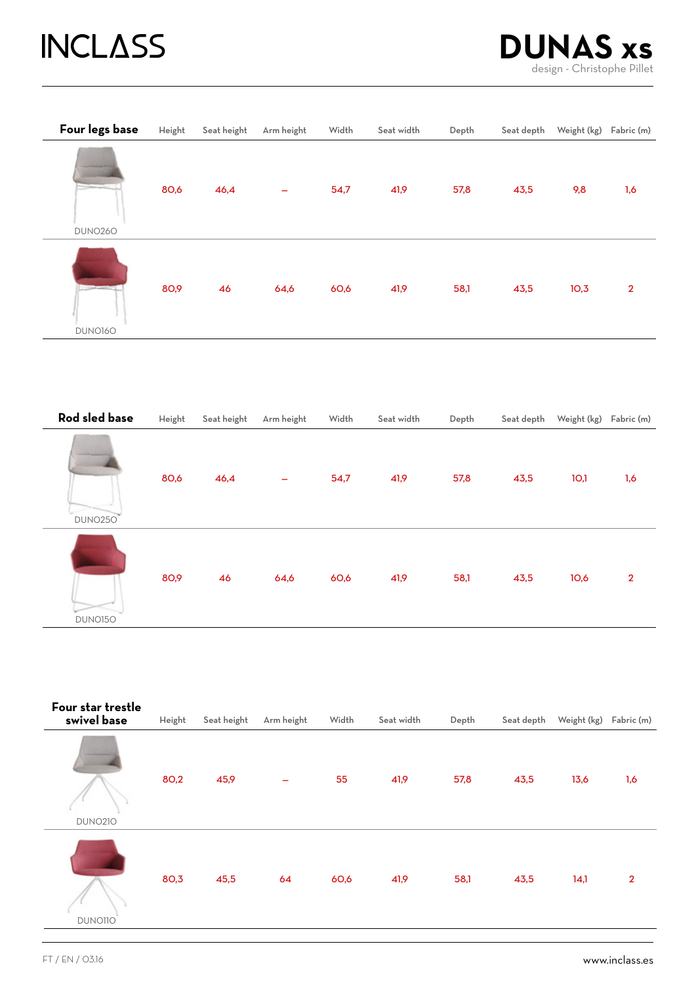# **INCLASS**



| Four legs base | Height | Seat height | Arm height | Width | Seat width | Depth | Seat depth | Weight (kg) | Fabric (m)     |
|----------------|--------|-------------|------------|-------|------------|-------|------------|-------------|----------------|
| <b>DUNO260</b> | 80,6   | 46,4        |            | 54,7  | 41,9       | 57,8  | 43,5       | 9,8         | 1,6            |
|                |        |             |            |       |            |       |            |             |                |
|                | 80,9   | 46          | 64,6       | 60,6  | 41,9       | 58,1  | 43,5       | 10,3        | $\overline{2}$ |
| DUNO160        |        |             |            |       |            |       |            |             |                |

| Rod sled base  | Height | Seat height | Arm height | Width | Seat width | Depth | Seat depth | Weight (kg) Fabric (m) |                |
|----------------|--------|-------------|------------|-------|------------|-------|------------|------------------------|----------------|
| <b>DUNO250</b> | 80,6   | 46,4        | -          | 54,7  | 41,9       | 57,8  | 43,5       | 10,1                   | 1,6            |
| DUNO150        | 80,9   | 46          | 64,6       | 60,6  | 41,9       | 58,1  | 43,5       | 10,6                   | $\overline{2}$ |

| Four star trestle<br>swivel base | Height | Seat height | Arm height | Width | Seat width | Depth | Seat depth | Weight (kg) Fabric (m) |                |
|----------------------------------|--------|-------------|------------|-------|------------|-------|------------|------------------------|----------------|
| <b>DUNO210</b>                   | 80,2   | 45,9        | -          | 55    | 41,9       | 57,8  | 43,5       | 13,6                   | 1,6            |
| <b>DUNO110</b>                   | 80,3   | 45,5        | 64         | 60,6  | 41,9       | 58,1  | 43,5       | 14,1                   | $\overline{2}$ |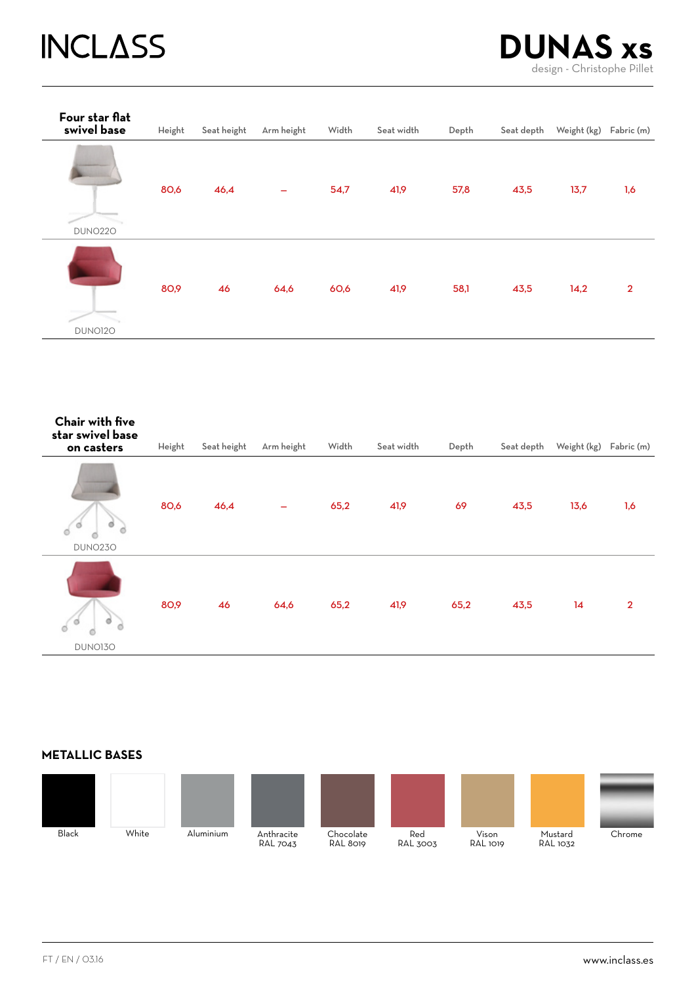# **INCLASS**



| Four star flat<br>swivel base | Height | Seat height | Arm height | Width | Seat width | Depth | Seat depth | Weight (kg) | Fabric (m)     |
|-------------------------------|--------|-------------|------------|-------|------------|-------|------------|-------------|----------------|
| <b>DUNO220</b>                | 80,6   | 46,4        |            | 54,7  | 41,9       | 57,8  | 43,5       | 13,7        | 1,6            |
| DUNO120                       | 80,9   | 46          | 64,6       | 60,6  | 41,9       | 58,1  | 43,5       | 14,2        | $\overline{2}$ |

| Chair with five<br>star swivel base<br>on casters | Height | Seat height | Arm height | Width | Seat width | Depth | Seat depth | Weight (kg) | Fabric (m)     |
|---------------------------------------------------|--------|-------------|------------|-------|------------|-------|------------|-------------|----------------|
| ø<br>ø<br>ó<br>DUNO230                            | 80,6   | 46,4        |            | 65,2  | 41,9       | 69    | 43,5       | 13,6        | 1,6            |
| ø<br>ø<br>d<br>DUNO130                            | 80,9   | 46          | 64,6       | 65,2  | 41,9       | 65,2  | 43,5       | 14          | $\overline{2}$ |

# **METALLIC BASES**